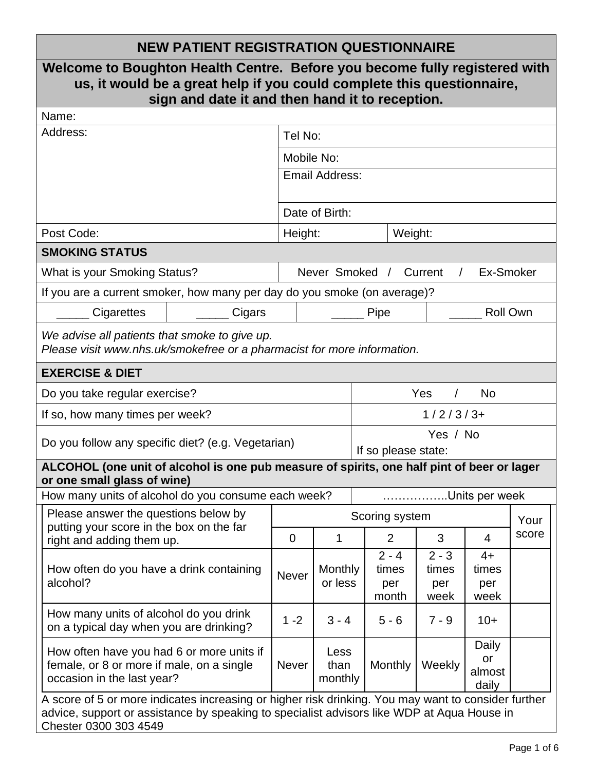# **NEW PATIENT REGISTRATION QUESTIONNAIRE**

| Welcome to Boughton Health Centre. Before you become fully registered with<br>us, it would be a great help if you could complete this questionnaire,<br>sign and date it and then hand it to reception.                    |        |                |                         |                                 |                                  |                                 |                                |       |  |  |  |
|----------------------------------------------------------------------------------------------------------------------------------------------------------------------------------------------------------------------------|--------|----------------|-------------------------|---------------------------------|----------------------------------|---------------------------------|--------------------------------|-------|--|--|--|
| Name:                                                                                                                                                                                                                      |        |                |                         |                                 |                                  |                                 |                                |       |  |  |  |
| Address:                                                                                                                                                                                                                   |        |                | Tel No:                 |                                 |                                  |                                 |                                |       |  |  |  |
|                                                                                                                                                                                                                            |        |                | Mobile No:              |                                 |                                  |                                 |                                |       |  |  |  |
|                                                                                                                                                                                                                            |        | Email Address: |                         |                                 |                                  |                                 |                                |       |  |  |  |
|                                                                                                                                                                                                                            |        |                | Date of Birth:          |                                 |                                  |                                 |                                |       |  |  |  |
| Post Code:                                                                                                                                                                                                                 |        |                | Height:<br>Weight:      |                                 |                                  |                                 |                                |       |  |  |  |
| <b>SMOKING STATUS</b>                                                                                                                                                                                                      |        |                |                         |                                 |                                  |                                 |                                |       |  |  |  |
| What is your Smoking Status?                                                                                                                                                                                               |        |                | Never Smoked /          |                                 |                                  | Current                         | Ex-Smoker                      |       |  |  |  |
| If you are a current smoker, how many per day do you smoke (on average)?                                                                                                                                                   |        |                |                         |                                 |                                  |                                 |                                |       |  |  |  |
| Cigarettes                                                                                                                                                                                                                 | Cigars |                |                         |                                 | Pipe                             |                                 | <b>Roll Own</b>                |       |  |  |  |
| We advise all patients that smoke to give up.<br>Please visit www.nhs.uk/smokefree or a pharmacist for more information.                                                                                                   |        |                |                         |                                 |                                  |                                 |                                |       |  |  |  |
| <b>EXERCISE &amp; DIET</b>                                                                                                                                                                                                 |        |                |                         |                                 |                                  |                                 |                                |       |  |  |  |
| Do you take regular exercise?                                                                                                                                                                                              |        |                |                         |                                 |                                  | Yes                             | <b>No</b>                      |       |  |  |  |
| If so, how many times per week?                                                                                                                                                                                            |        |                |                         | $1/2/3/3+$                      |                                  |                                 |                                |       |  |  |  |
| Do you follow any specific diet? (e.g. Vegetarian)                                                                                                                                                                         |        |                |                         | Yes / No<br>If so please state: |                                  |                                 |                                |       |  |  |  |
| ALCOHOL (one unit of alcohol is one pub measure of spirits, one half pint of beer or lager<br>or one small glass of wine)                                                                                                  |        |                |                         |                                 |                                  |                                 |                                |       |  |  |  |
| How many units of alcohol do you consume each week?<br>Units per week                                                                                                                                                      |        |                |                         |                                 |                                  |                                 |                                |       |  |  |  |
| Please answer the questions below by                                                                                                                                                                                       |        |                | Scoring system          |                                 |                                  |                                 | Your                           |       |  |  |  |
| putting your score in the box on the far<br>right and adding them up.                                                                                                                                                      |        | $\overline{0}$ | 1                       |                                 | $\overline{2}$                   | 3                               | $\overline{4}$                 | score |  |  |  |
| How often do you have a drink containing<br>alcohol?                                                                                                                                                                       |        | <b>Never</b>   | Monthly<br>or less      |                                 | $2 - 4$<br>times<br>per<br>month | $2 - 3$<br>times<br>per<br>week | $4+$<br>times<br>per<br>week   |       |  |  |  |
| How many units of alcohol do you drink<br>on a typical day when you are drinking?                                                                                                                                          |        | $1 - 2$        | $3 - 4$                 |                                 | $5 - 6$                          | $7 - 9$                         | $10+$                          |       |  |  |  |
| How often have you had 6 or more units if<br>female, or 8 or more if male, on a single<br>occasion in the last year?                                                                                                       |        | <b>Never</b>   | Less<br>than<br>monthly |                                 | Monthly                          | Weekly                          | Daily<br>or<br>almost<br>daily |       |  |  |  |
| A score of 5 or more indicates increasing or higher risk drinking. You may want to consider further<br>advice, support or assistance by speaking to specialist advisors like WDP at Aqua House in<br>Chester 0300 303 4549 |        |                |                         |                                 |                                  |                                 |                                |       |  |  |  |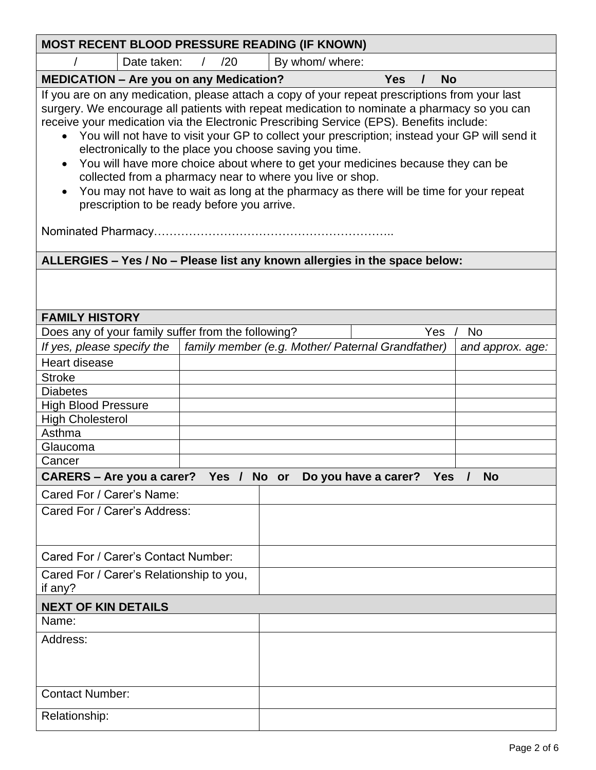| <b>MOST RECENT BLOOD PRESSURE READING (IF KNOWN)</b>                                                                                                                                                                                                                                                                                                                                                                                                                                                                                                                                                                                                                                                                                            |  |     |                                                   |  |            |          |                  |
|-------------------------------------------------------------------------------------------------------------------------------------------------------------------------------------------------------------------------------------------------------------------------------------------------------------------------------------------------------------------------------------------------------------------------------------------------------------------------------------------------------------------------------------------------------------------------------------------------------------------------------------------------------------------------------------------------------------------------------------------------|--|-----|---------------------------------------------------|--|------------|----------|------------------|
| Date taken:                                                                                                                                                                                                                                                                                                                                                                                                                                                                                                                                                                                                                                                                                                                                     |  | /20 | By whom/ where:                                   |  |            |          |                  |
| <b>MEDICATION - Are you on any Medication?</b>                                                                                                                                                                                                                                                                                                                                                                                                                                                                                                                                                                                                                                                                                                  |  |     |                                                   |  | <b>Yes</b> | $\prime$ | <b>No</b>        |
| If you are on any medication, please attach a copy of your repeat prescriptions from your last<br>surgery. We encourage all patients with repeat medication to nominate a pharmacy so you can<br>receive your medication via the Electronic Prescribing Service (EPS). Benefits include:<br>• You will not have to visit your GP to collect your prescription; instead your GP will send it<br>electronically to the place you choose saving you time.<br>You will have more choice about where to get your medicines because they can be<br>collected from a pharmacy near to where you live or shop.<br>You may not have to wait as long at the pharmacy as there will be time for your repeat<br>prescription to be ready before you arrive. |  |     |                                                   |  |            |          |                  |
| ALLERGIES - Yes / No - Please list any known allergies in the space below:                                                                                                                                                                                                                                                                                                                                                                                                                                                                                                                                                                                                                                                                      |  |     |                                                   |  |            |          |                  |
|                                                                                                                                                                                                                                                                                                                                                                                                                                                                                                                                                                                                                                                                                                                                                 |  |     |                                                   |  |            |          |                  |
| <b>FAMILY HISTORY</b>                                                                                                                                                                                                                                                                                                                                                                                                                                                                                                                                                                                                                                                                                                                           |  |     |                                                   |  |            |          |                  |
| Does any of your family suffer from the following?                                                                                                                                                                                                                                                                                                                                                                                                                                                                                                                                                                                                                                                                                              |  |     |                                                   |  |            | Yes      | <b>No</b>        |
| If yes, please specify the                                                                                                                                                                                                                                                                                                                                                                                                                                                                                                                                                                                                                                                                                                                      |  |     | family member (e.g. Mother/ Paternal Grandfather) |  |            |          | and approx. age: |
| <b>Heart disease</b>                                                                                                                                                                                                                                                                                                                                                                                                                                                                                                                                                                                                                                                                                                                            |  |     |                                                   |  |            |          |                  |
| <b>Stroke</b>                                                                                                                                                                                                                                                                                                                                                                                                                                                                                                                                                                                                                                                                                                                                   |  |     |                                                   |  |            |          |                  |
| <b>Diabetes</b>                                                                                                                                                                                                                                                                                                                                                                                                                                                                                                                                                                                                                                                                                                                                 |  |     |                                                   |  |            |          |                  |
| <b>High Blood Pressure</b>                                                                                                                                                                                                                                                                                                                                                                                                                                                                                                                                                                                                                                                                                                                      |  |     |                                                   |  |            |          |                  |
| <b>High Cholesterol</b>                                                                                                                                                                                                                                                                                                                                                                                                                                                                                                                                                                                                                                                                                                                         |  |     |                                                   |  |            |          |                  |
| Asthma                                                                                                                                                                                                                                                                                                                                                                                                                                                                                                                                                                                                                                                                                                                                          |  |     |                                                   |  |            |          |                  |
| Glaucoma                                                                                                                                                                                                                                                                                                                                                                                                                                                                                                                                                                                                                                                                                                                                        |  |     |                                                   |  |            |          |                  |
| Cancer                                                                                                                                                                                                                                                                                                                                                                                                                                                                                                                                                                                                                                                                                                                                          |  |     |                                                   |  |            |          |                  |
|                                                                                                                                                                                                                                                                                                                                                                                                                                                                                                                                                                                                                                                                                                                                                 |  |     |                                                   |  |            |          | <b>No</b>        |
| CARERS - Are you a carer? Yes / No or Do you have a carer? Yes                                                                                                                                                                                                                                                                                                                                                                                                                                                                                                                                                                                                                                                                                  |  |     |                                                   |  |            |          |                  |
| Cared For / Carer's Name:                                                                                                                                                                                                                                                                                                                                                                                                                                                                                                                                                                                                                                                                                                                       |  |     |                                                   |  |            |          |                  |
| Cared For / Carer's Address:                                                                                                                                                                                                                                                                                                                                                                                                                                                                                                                                                                                                                                                                                                                    |  |     |                                                   |  |            |          |                  |
| Cared For / Carer's Contact Number:                                                                                                                                                                                                                                                                                                                                                                                                                                                                                                                                                                                                                                                                                                             |  |     |                                                   |  |            |          |                  |
| Cared For / Carer's Relationship to you,<br>if any?                                                                                                                                                                                                                                                                                                                                                                                                                                                                                                                                                                                                                                                                                             |  |     |                                                   |  |            |          |                  |
| <b>NEXT OF KIN DETAILS</b>                                                                                                                                                                                                                                                                                                                                                                                                                                                                                                                                                                                                                                                                                                                      |  |     |                                                   |  |            |          |                  |
| Name:                                                                                                                                                                                                                                                                                                                                                                                                                                                                                                                                                                                                                                                                                                                                           |  |     |                                                   |  |            |          |                  |
| Address:                                                                                                                                                                                                                                                                                                                                                                                                                                                                                                                                                                                                                                                                                                                                        |  |     |                                                   |  |            |          |                  |
|                                                                                                                                                                                                                                                                                                                                                                                                                                                                                                                                                                                                                                                                                                                                                 |  |     |                                                   |  |            |          |                  |
| <b>Contact Number:</b>                                                                                                                                                                                                                                                                                                                                                                                                                                                                                                                                                                                                                                                                                                                          |  |     |                                                   |  |            |          |                  |
| Relationship:                                                                                                                                                                                                                                                                                                                                                                                                                                                                                                                                                                                                                                                                                                                                   |  |     |                                                   |  |            |          |                  |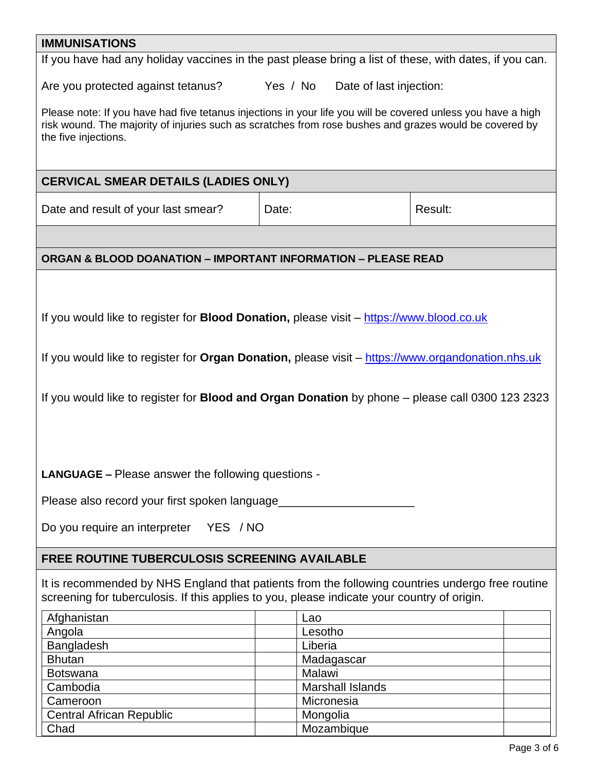### **IMMUNISATIONS**

If you have had any holiday vaccines in the past please bring a list of these, with dates, if you can.

Are you protected against tetanus? Yes / No Date of last injection:

Please note: If you have had five tetanus injections in your life you will be covered unless you have a high risk wound. The majority of injuries such as scratches from rose bushes and grazes would be covered by the five injections.

## **CERVICAL SMEAR DETAILS (LADIES ONLY)**

Date and result of your last smear? | Date: | Date: | Result:

## **ORGAN & BLOOD DOANATION – IMPORTANT INFORMATION – PLEASE READ**

If you would like to register for **Blood Donation,** please visit – [https://www.blood.co.uk](https://www.blood.co.uk/)

If you would like to register for **Organ Donation,** please visit – [https://www.organdonation.nhs.uk](https://www.organdonation.nhs.uk/)

If you would like to register for **Blood and Organ Donation** by phone – please call 0300 123 2323

**LANGUAGE –** Please answer the following questions -

Please also record your first spoken language

Do you require an interpreter YES / NO

## **FREE ROUTINE TUBERCULOSIS SCREENING AVAILABLE**

It is recommended by NHS England that patients from the following countries undergo free routine screening for tuberculosis. If this applies to you, please indicate your country of origin.

| Afghanistan                     | Lao                     |
|---------------------------------|-------------------------|
| Angola                          | Lesotho                 |
| Bangladesh                      | Liberia                 |
| <b>Bhutan</b>                   | Madagascar              |
| <b>Botswana</b>                 | Malawi                  |
| Cambodia                        | <b>Marshall Islands</b> |
| Cameroon                        | Micronesia              |
| <b>Central African Republic</b> | Mongolia                |
| Chad                            | Mozambique              |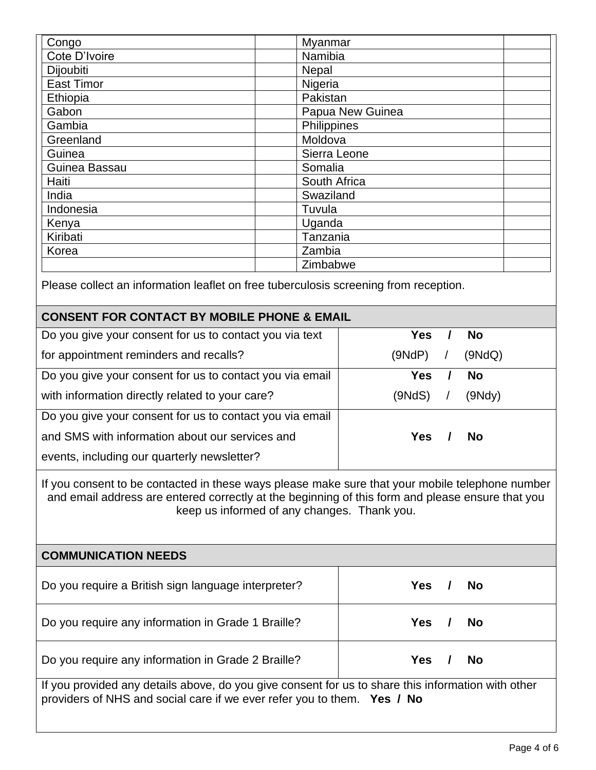| Congo             | Myanmar          |  |
|-------------------|------------------|--|
| Cote D'Ivoire     | Namibia          |  |
| Dijoubiti         | Nepal            |  |
| <b>East Timor</b> | Nigeria          |  |
| Ethiopia          | Pakistan         |  |
| Gabon             | Papua New Guinea |  |
| Gambia            | Philippines      |  |
| Greenland         | Moldova          |  |
| Guinea            | Sierra Leone     |  |
| Guinea Bassau     | Somalia          |  |
| Haiti             | South Africa     |  |
| India             | Swaziland        |  |
| Indonesia         | Tuvula           |  |
| Kenya             | Uganda           |  |
| Kiribati          | Tanzania         |  |
| Korea             | Zambia           |  |
|                   | Zimbabwe         |  |

Please collect an information leaflet on free tuberculosis screening from reception.

## **CONSENT FOR CONTACT BY MOBILE PHONE & EMAIL**

| Do you give your consent for us to contact you via text  | Yes        | <b>No</b> |
|----------------------------------------------------------|------------|-----------|
| for appointment reminders and recalls?                   | (9NdP)     | (9NdQ)    |
| Do you give your consent for us to contact you via email | <b>Yes</b> | <b>No</b> |
| with information directly related to your care?          | (9NdS)     | (9Ndy)    |
| Do you give your consent for us to contact you via email |            |           |
| and SMS with information about our services and          | <b>Yes</b> | <b>No</b> |
| events, including our quarterly newsletter?              |            |           |

If you consent to be contacted in these ways please make sure that your mobile telephone number and email address are entered correctly at the beginning of this form and please ensure that you keep us informed of any changes. Thank you.

| <b>COMMUNICATION NEEDS</b>                                                                         |                         |  |  |  |
|----------------------------------------------------------------------------------------------------|-------------------------|--|--|--|
| Do you require a British sign language interpreter?                                                | Yes:<br><b>No</b>       |  |  |  |
| Do you require any information in Grade 1 Braille?                                                 | <b>Yes</b><br><b>No</b> |  |  |  |
| Do you require any information in Grade 2 Braille?                                                 | <b>Yes</b><br><b>No</b> |  |  |  |
| If you provided any details above, do you give consent for us to share this information with other |                         |  |  |  |

providers of NHS and social care if we ever refer you to them. **Yes / No**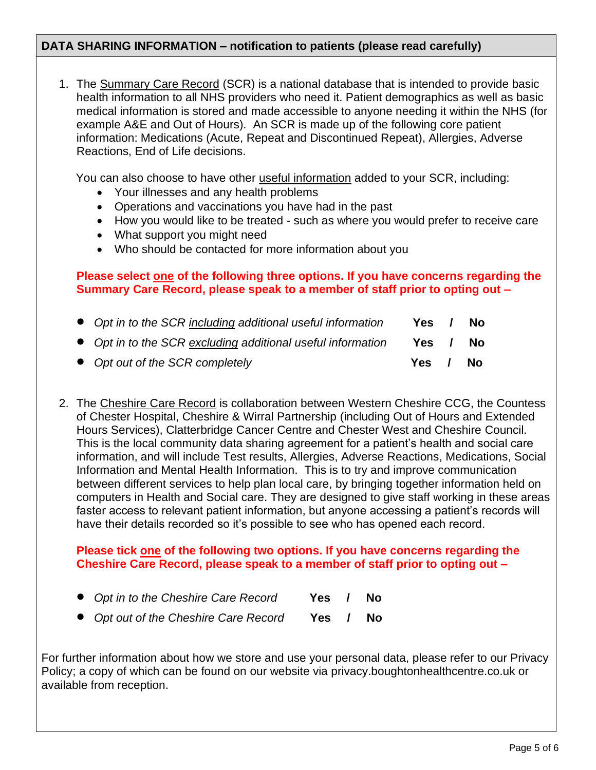## **DATA SHARING INFORMATION – notification to patients (please read carefully)**

1. The Summary Care Record (SCR) is a national database that is intended to provide basic health information to all NHS providers who need it. Patient demographics as well as basic medical information is stored and made accessible to anyone needing it within the NHS (for example A&E and Out of Hours). An SCR is made up of the following core patient information: Medications (Acute, Repeat and Discontinued Repeat), Allergies, Adverse Reactions, End of Life decisions.

You can also choose to have other useful information added to your SCR, including:

- Your illnesses and any health problems
- Operations and vaccinations you have had in the past
- How you would like to be treated such as where you would prefer to receive care
- What support you might need
- Who should be contacted for more information about you

### **Please select one of the following three options. If you have concerns regarding the Summary Care Record, please speak to a member of staff prior to opting out –**

| • Opt in to the SCR including additional useful information | Yes   | No.   |
|-------------------------------------------------------------|-------|-------|
| • Opt in to the SCR excluding additional useful information | Yes / | No.   |
| • Opt out of the SCR completely                             | Yes / | No No |

2. The Cheshire Care Record is collaboration between Western Cheshire CCG, the Countess of Chester Hospital, Cheshire & Wirral Partnership (including Out of Hours and Extended Hours Services), Clatterbridge Cancer Centre and Chester West and Cheshire Council. This is the local community data sharing agreement for a patient's health and social care information, and will include Test results, Allergies, Adverse Reactions, Medications, Social Information and Mental Health Information. This is to try and improve communication between different services to help plan local care, by bringing together information held on computers in Health and Social care. They are designed to give staff working in these areas faster access to relevant patient information, but anyone accessing a patient's records will have their details recorded so it's possible to see who has opened each record.

#### **Please tick one of the following two options. If you have concerns regarding the Cheshire Care Record, please speak to a member of staff prior to opting out –**

- *Opt in to the Cheshire Care Record* **Yes / No**
- *Opt out of the Cheshire Care Record* **Yes / No**

For further information about how we store and use your personal data, please refer to our Privacy Policy; a copy of which can be found on our website via privacy.boughtonhealthcentre.co.uk or available from reception.